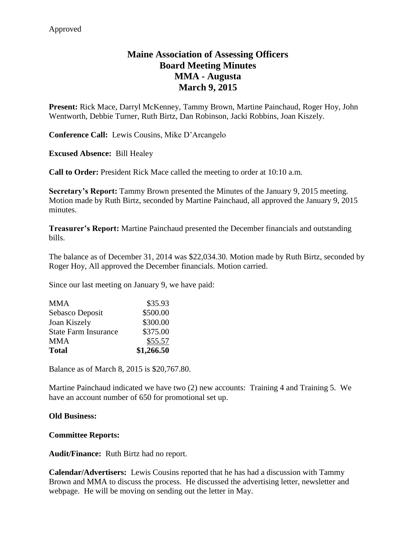# **Maine Association of Assessing Officers Board Meeting Minutes MMA - Augusta March 9, 2015**

**Present:** Rick Mace, Darryl McKenney, Tammy Brown, Martine Painchaud, Roger Hoy, John Wentworth, Debbie Turner, Ruth Birtz, Dan Robinson, Jacki Robbins, Joan Kiszely.

**Conference Call:** Lewis Cousins, Mike D'Arcangelo

**Excused Absence:** Bill Healey

**Call to Order:** President Rick Mace called the meeting to order at 10:10 a.m.

**Secretary's Report:** Tammy Brown presented the Minutes of the January 9, 2015 meeting. Motion made by Ruth Birtz, seconded by Martine Painchaud, all approved the January 9, 2015 minutes.

**Treasurer's Report:** Martine Painchaud presented the December financials and outstanding bills.

The balance as of December 31, 2014 was \$22,034.30. Motion made by Ruth Birtz, seconded by Roger Hoy, All approved the December financials. Motion carried.

Since our last meeting on January 9, we have paid:

| MMA<br><b>Total</b>         | \$55.57<br>\$1,266.50 |
|-----------------------------|-----------------------|
| <b>State Farm Insurance</b> | \$375.00              |
| Joan Kiszely                | \$300.00              |
| Sebasco Deposit             | \$500.00              |
| <b>MMA</b>                  | \$35.93               |

Balance as of March 8, 2015 is \$20,767.80.

Martine Painchaud indicated we have two (2) new accounts: Training 4 and Training 5. We have an account number of 650 for promotional set up.

## **Old Business:**

## **Committee Reports:**

**Audit/Finance:** Ruth Birtz had no report.

**Calendar/Advertisers:** Lewis Cousins reported that he has had a discussion with Tammy Brown and MMA to discuss the process. He discussed the advertising letter, newsletter and webpage. He will be moving on sending out the letter in May.